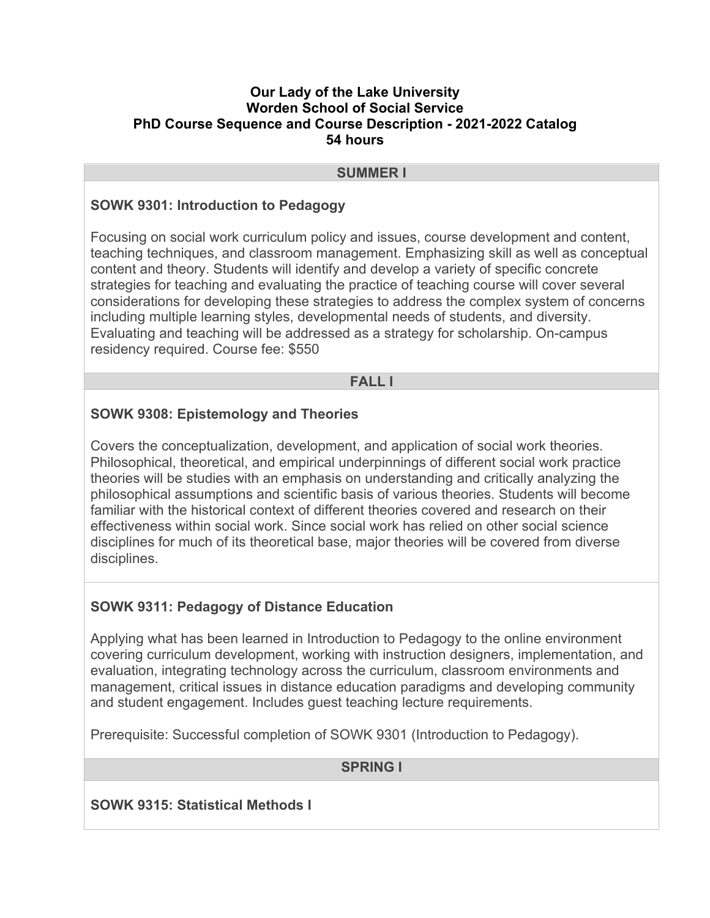#### **Our Lady of the Lake University Worden School of Social Service PhD Course Sequence and Course Description - 2021-2022 Catalog 54 hours**

#### **SUMMER I**

### **SOWK 9301: Introduction to Pedagogy**

Focusing on social work curriculum policy and issues, course development and content, teaching techniques, and classroom management. Emphasizing skill as well as conceptual content and theory. Students will identify and develop a variety of specific concrete strategies for teaching and evaluating the practice of teaching course will cover several considerations for developing these strategies to address the complex system of concerns including multiple learning styles, developmental needs of students, and diversity. Evaluating and teaching will be addressed as a strategy for scholarship. On-campus residency required. Course fee: \$550

#### **FALL I**

### **SOWK 9308: Epistemology and Theories**

Covers the conceptualization, development, and application of social work theories. Philosophical, theoretical, and empirical underpinnings of different social work practice theories will be studies with an emphasis on understanding and critically analyzing the philosophical assumptions and scientific basis of various theories. Students will become familiar with the historical context of different theories covered and research on their effectiveness within social work. Since social work has relied on other social science disciplines for much of its theoretical base, major theories will be covered from diverse disciplines.

#### **SOWK 9311: Pedagogy of Distance Education**

Applying what has been learned in Introduction to Pedagogy to the online environment covering curriculum development, working with instruction designers, implementation, and evaluation, integrating technology across the curriculum, classroom environments and management, critical issues in distance education paradigms and developing community and student engagement. Includes guest teaching lecture requirements.

Prerequisite: Successful completion of SOWK 9301 (Introduction to Pedagogy).

### **SPRING I**

**SOWK 9315: Statistical Methods I**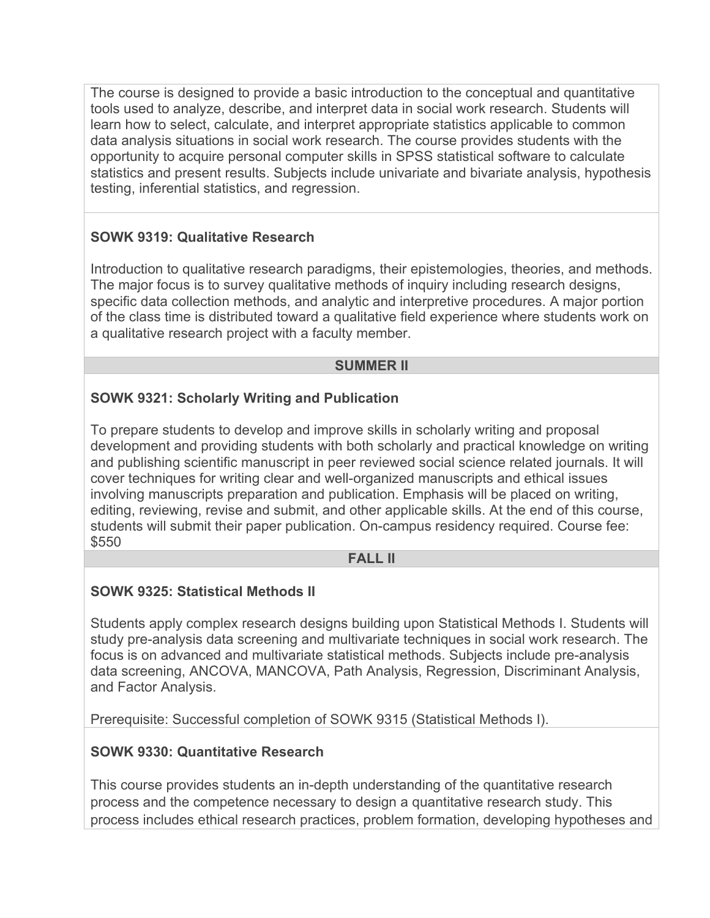The course is designed to provide a basic introduction to the conceptual and quantitative tools used to analyze, describe, and interpret data in social work research. Students will learn how to select, calculate, and interpret appropriate statistics applicable to common data analysis situations in social work research. The course provides students with the opportunity to acquire personal computer skills in SPSS statistical software to calculate statistics and present results. Subjects include univariate and bivariate analysis, hypothesis testing, inferential statistics, and regression.

# **SOWK 9319: Qualitative Research**

Introduction to qualitative research paradigms, their epistemologies, theories, and methods. The major focus is to survey qualitative methods of inquiry including research designs, specific data collection methods, and analytic and interpretive procedures. A major portion of the class time is distributed toward a qualitative field experience where students work on a qualitative research project with a faculty member.

#### **SUMMER II**

# **SOWK 9321: Scholarly Writing and Publication**

To prepare students to develop and improve skills in scholarly writing and proposal development and providing students with both scholarly and practical knowledge on writing and publishing scientific manuscript in peer reviewed social science related journals. It will cover techniques for writing clear and well-organized manuscripts and ethical issues involving manuscripts preparation and publication. Emphasis will be placed on writing, editing, reviewing, revise and submit, and other applicable skills. At the end of this course, students will submit their paper publication. On-campus residency required. Course fee: \$550

#### **FALL II**

# **SOWK 9325: Statistical Methods II**

Students apply complex research designs building upon Statistical Methods I. Students will study pre-analysis data screening and multivariate techniques in social work research. The focus is on advanced and multivariate statistical methods. Subjects include pre-analysis data screening, ANCOVA, MANCOVA, Path Analysis, Regression, Discriminant Analysis, and Factor Analysis.

Prerequisite: Successful completion of SOWK 9315 (Statistical Methods I).

# **SOWK 9330: Quantitative Research**

This course provides students an in-depth understanding of the quantitative research process and the competence necessary to design a quantitative research study. This process includes ethical research practices, problem formation, developing hypotheses and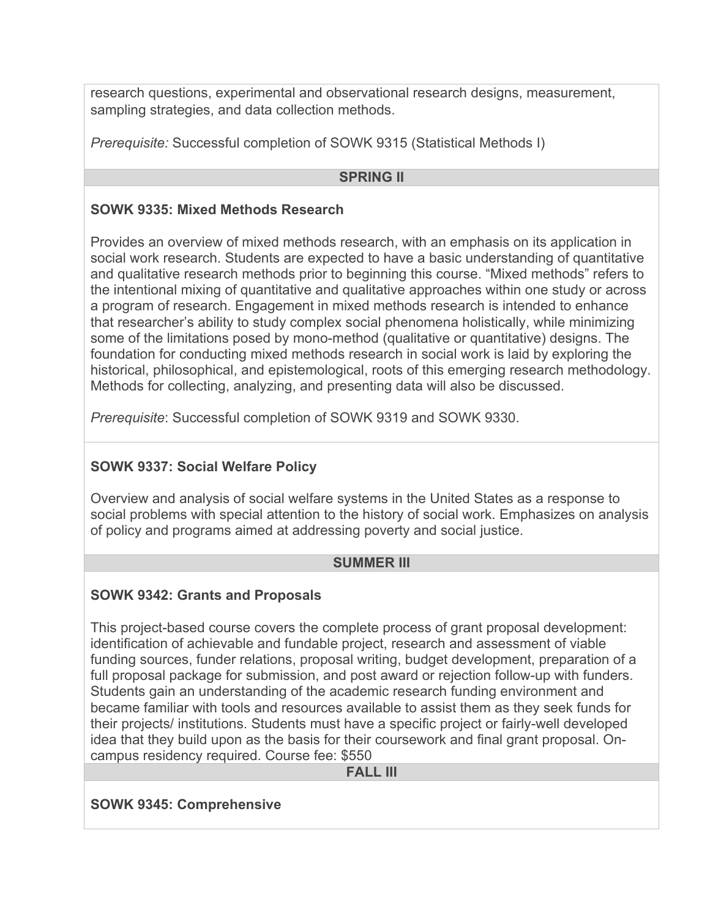research questions, experimental and observational research designs, measurement, sampling strategies, and data collection methods.

*Prerequisite:* Successful completion of SOWK 9315 (Statistical Methods I)

#### **SPRING II**

### **SOWK 9335: Mixed Methods Research**

Provides an overview of mixed methods research, with an emphasis on its application in social work research. Students are expected to have a basic understanding of quantitative and qualitative research methods prior to beginning this course. "Mixed methods" refers to the intentional mixing of quantitative and qualitative approaches within one study or across a program of research. Engagement in mixed methods research is intended to enhance that researcher's ability to study complex social phenomena holistically, while minimizing some of the limitations posed by mono-method (qualitative or quantitative) designs. The foundation for conducting mixed methods research in social work is laid by exploring the historical, philosophical, and epistemological, roots of this emerging research methodology. Methods for collecting, analyzing, and presenting data will also be discussed.

*Prerequisite*: Successful completion of SOWK 9319 and SOWK 9330.

# **SOWK 9337: Social Welfare Policy**

Overview and analysis of social welfare systems in the United States as a response to social problems with special attention to the history of social work. Emphasizes on analysis of policy and programs aimed at addressing poverty and social justice.

# **SUMMER III**

# **SOWK 9342: Grants and Proposals**

This project-based course covers the complete process of grant proposal development: identification of achievable and fundable project, research and assessment of viable funding sources, funder relations, proposal writing, budget development, preparation of a full proposal package for submission, and post award or rejection follow-up with funders. Students gain an understanding of the academic research funding environment and became familiar with tools and resources available to assist them as they seek funds for their projects/ institutions. Students must have a specific project or fairly-well developed idea that they build upon as the basis for their coursework and final grant proposal. Oncampus residency required. Course fee: \$550

**FALL III**

#### **SOWK 9345: Comprehensive**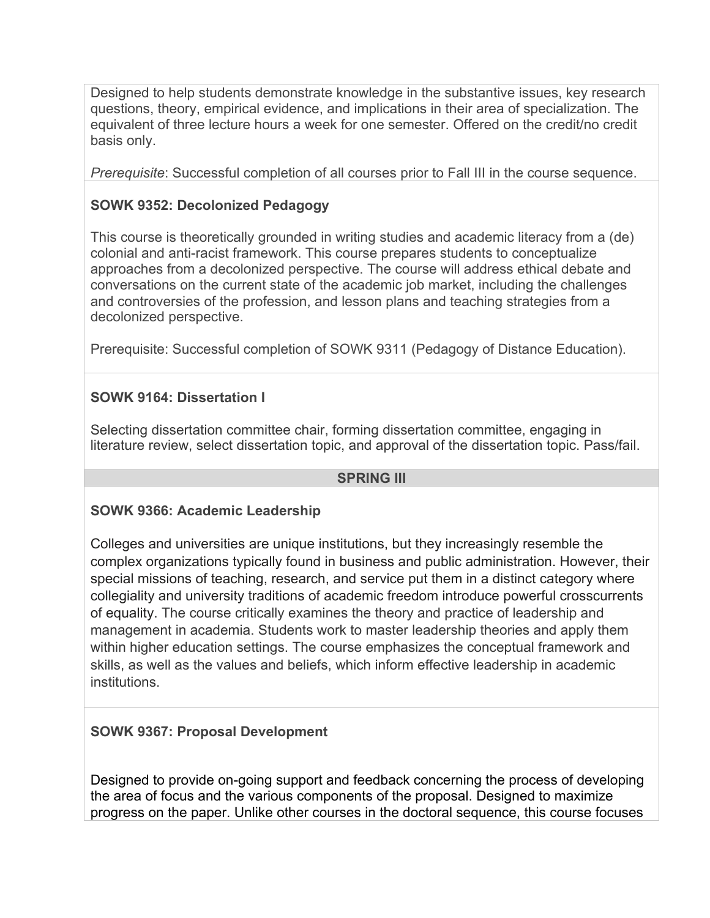Designed to help students demonstrate knowledge in the substantive issues, key research questions, theory, empirical evidence, and implications in their area of specialization. The equivalent of three lecture hours a week for one semester. Offered on the credit/no credit basis only.

*Prerequisite*: Successful completion of all courses prior to Fall III in the course sequence.

# **SOWK 9352: Decolonized Pedagogy**

This course is theoretically grounded in writing studies and academic literacy from a (de) colonial and anti-racist framework. This course prepares students to conceptualize approaches from a decolonized perspective. The course will address ethical debate and conversations on the current state of the academic job market, including the challenges and controversies of the profession, and lesson plans and teaching strategies from a decolonized perspective.

Prerequisite: Successful completion of SOWK 9311 (Pedagogy of Distance Education).

# **SOWK 9164: Dissertation I**

Selecting dissertation committee chair, forming dissertation committee, engaging in literature review, select dissertation topic, and approval of the dissertation topic. Pass/fail.

#### **SPRING III**

#### **SOWK 9366: Academic Leadership**

Colleges and universities are unique institutions, but they increasingly resemble the complex organizations typically found in business and public administration. However, their special missions of teaching, research, and service put them in a distinct category where collegiality and university traditions of academic freedom introduce powerful crosscurrents of equality. The course critically examines the theory and practice of leadership and management in academia. Students work to master leadership theories and apply them within higher education settings. The course emphasizes the conceptual framework and skills, as well as the values and beliefs, which inform effective leadership in academic institutions.

# **SOWK 9367: Proposal Development**

Designed to provide on-going support and feedback concerning the process of developing the area of focus and the various components of the proposal. Designed to maximize progress on the paper. Unlike other courses in the doctoral sequence, this course focuses